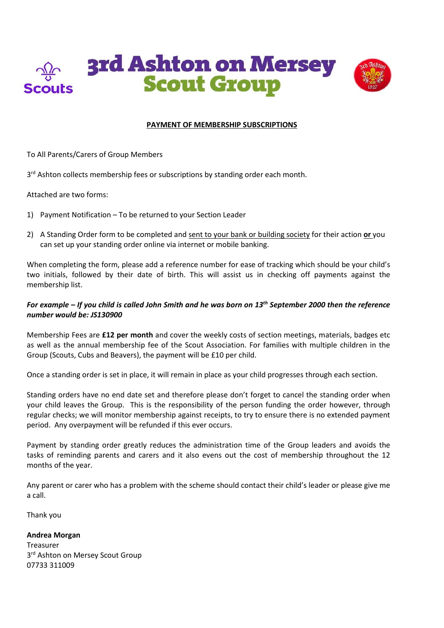

### **PAYMENT OF MEMBERSHIP SUBSCRIPTIONS**

To All Parents/Carers of Group Members

3<sup>rd</sup> Ashton collects membership fees or subscriptions by standing order each month.

Attached are two forms:

- 1) Payment Notification To be returned to your Section Leader
- 2) A Standing Order form to be completed and sent to your bank or building society for their action **or** you can set up your standing order online via internet or mobile banking.

When completing the form, please add a reference number for ease of tracking which should be your child's two initials, followed by their date of birth. This will assist us in checking off payments against the membership list.

## *For example – If you child is called John Smith and he was born on 13th September 2000 then the reference number would be: JS130900*

Membership Fees are **£12 per month** and cover the weekly costs of section meetings, materials, badges etc as well as the annual membership fee of the Scout Association. For families with multiple children in the Group (Scouts, Cubs and Beavers), the payment will be £10 per child.

Once a standing order is set in place, it will remain in place as your child progresses through each section.

Standing orders have no end date set and therefore please don't forget to cancel the standing order when your child leaves the Group. This is the responsibility of the person funding the order however, through regular checks; we will monitor membership against receipts, to try to ensure there is no extended payment period. Any overpayment will be refunded if this ever occurs.

Payment by standing order greatly reduces the administration time of the Group leaders and avoids the tasks of reminding parents and carers and it also evens out the cost of membership throughout the 12 months of the year.

Any parent or carer who has a problem with the scheme should contact their child's leader or please give me a call.

Thank you

**Andrea Morgan**

Treasurer 3<sup>rd</sup> Ashton on Mersey Scout Group 07733 311009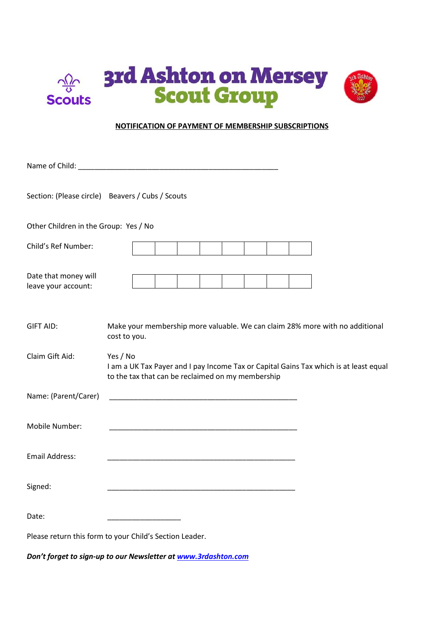

#### **NOTIFICATION OF PAYMENT OF MEMBERSHIP SUBSCRIPTIONS**

|                                             | Name of Child: Name of Child:                                                                                                                          |  |  |
|---------------------------------------------|--------------------------------------------------------------------------------------------------------------------------------------------------------|--|--|
|                                             | Section: (Please circle) Beavers / Cubs / Scouts                                                                                                       |  |  |
| Other Children in the Group: Yes / No       |                                                                                                                                                        |  |  |
| Child's Ref Number:                         |                                                                                                                                                        |  |  |
| Date that money will<br>leave your account: |                                                                                                                                                        |  |  |
| <b>GIFT AID:</b>                            | Make your membership more valuable. We can claim 28% more with no additional<br>cost to you.                                                           |  |  |
| Claim Gift Aid:                             | Yes / No<br>I am a UK Tax Payer and I pay Income Tax or Capital Gains Tax which is at least equal<br>to the tax that can be reclaimed on my membership |  |  |
| Name: (Parent/Carer)                        |                                                                                                                                                        |  |  |
| Mobile Number:                              |                                                                                                                                                        |  |  |
| <b>Email Address:</b>                       |                                                                                                                                                        |  |  |
| Signed:                                     |                                                                                                                                                        |  |  |
| Date:                                       |                                                                                                                                                        |  |  |
|                                             | Please return this form to your Child's Section Leader.                                                                                                |  |  |

*Don't forget to sign-up to our Newsletter a[t www.3rdashton.com](http://www.3rdashton.com/)*